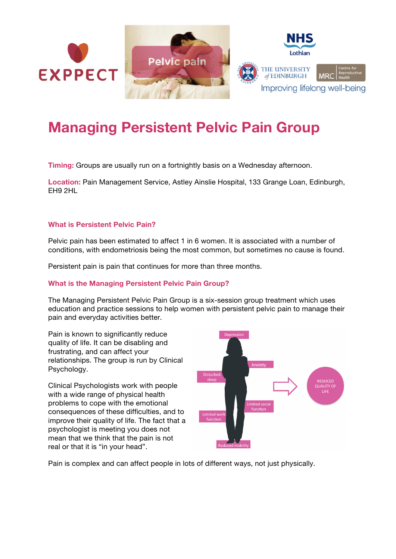

## **Managing Persistent Pelvic Pain Group**

**Timing:** Groups are usually run on a fortnightly basis on a Wednesday afternoon.

**Location:** Pain Management Service, Astley Ainslie Hospital, 133 Grange Loan, Edinburgh, EH9 2HL

## **What is Persistent Pelvic Pain?**

Pelvic pain has been estimated to affect 1 in 6 women. It is associated with a number of conditions, with endometriosis being the most common, but sometimes no cause is found.

Persistent pain is pain that continues for more than three months.

## **What is the Managing Persistent Pelvic Pain Group?**

The Managing Persistent Pelvic Pain Group is a six-session group treatment which uses education and practice sessions to help women with persistent pelvic pain to manage their pain and everyday activities better.

Pain is known to significantly reduce quality of life. It can be disabling and frustrating, and can affect your relationships. The group is run by Clinical Psychology.

Clinical Psychologists work with people with a wide range of physical health problems to cope with the emotional consequences of these difficulties, and to improve their quality of life. The fact that a psychologist is meeting you does not mean that we think that the pain is not real or that it is "in your head".



Pain is complex and can affect people in lots of different ways, not just physically.